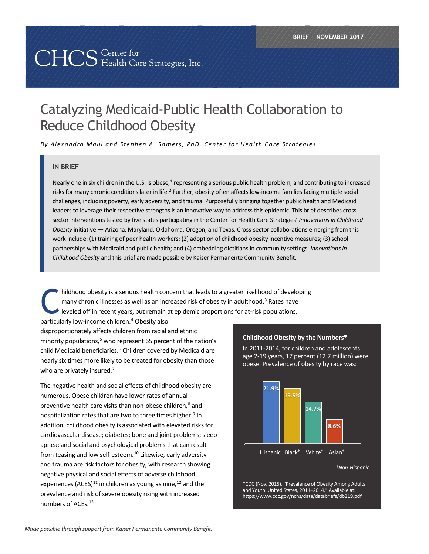# 

# Catalyzing Medicaid-Public Health Collaboration to Reduce Childhood Obesity

*By Alexandra Maul and Stephen A. Somers, PhD, Center for Health Care Strategies*

#### **IN BRIEF**

Nearly one in six children in the U.S. is obese,<sup>[1](#page-7-0)</sup> representing a serious public health problem, and contributing to increased risks for many chronic conditions later in life.<sup>2</sup> Further, obesity often affects low-income families facing multiple social challenges, including poverty, early adversity, and trauma. Purposefully bringing together public health and Medicaid leaders to leverage their respective strengths is an innovative way to address this epidemic. This brief describes crosssector interventions tested by five states participating in the Center for Health Care Strategies' *Innovations in Childhood Obesity* initiative — Arizona, Maryland, Oklahoma, Oregon, and Texas. Cross-sector collaborations emerging from this work include: (1) training of peer health workers; (2) adoption of childhood obesity incentive measures; (3) school partnerships with Medicaid and public health; and (4) embedding dietitians in community settings. *Innovations in Childhood Obesity* and this brief are made possible by Kaiser Permanente Community Benefit.

hildhood obesity is a serious health concern that leads to a greater likelihood of developing many chronic illnesses as well as an increased risk of obesity in adulthood.<sup>[3](#page-7-2)</sup> Rates have  $\blacktriangleright$  leveled off in recent years, but remain at epidemic proportions for at-risk populations, C

particularly low-income children.[4](#page-7-3) Obesity also

disproportionately affects children from racial and ethnic minority populations,<sup>5</sup> who represent 65 percent of the nation's child Medicaid beneficiaries.<sup>[6](#page-7-5)</sup> Children covered by Medicaid are nearly six times more likely to be treated for obesity than those who are privately insured.<sup>7</sup>

The negative health and social effects of childhood obesity are numerous. Obese children have lower rates of annual preventive health care visits than non-obese children,<sup>[8](#page-7-7)</sup> and hospitalization rates that are two to three times higher.<sup>[9](#page-7-8)</sup> In addition, childhood obesity is associated with elevated risks for: cardiovascular disease; diabetes; bone and joint problems; sleep apnea; and social and psychological problems that can result from teasing and low self-esteem.<sup>[10](#page-7-9)</sup> Likewise, early adversity and trauma are risk factors for obesity, with research showing negative physical and social effects of adverse childhood experiences (ACES)<sup>[11](#page-7-10)</sup> in children as young as nine,<sup>12</sup> and the prevalence and risk of severe obesity rising with increased numbers of ACEs.<sup>[13](#page-7-12)</sup>



In 2011-2014, for children and adolescents age 2-19 years, 17 percent (12.7 million) were obese. Prevalence of obesity by race was:



\*CDC (Nov. 2015). "Prevalence of Obesity Among Adults and Youth: United States, 2011–2014." Available at: [https://www.cdc.gov/nchs/data/databriefs/db219.pdf.](https://www.cdc.gov/nchs/data/databriefs/db219.pdf)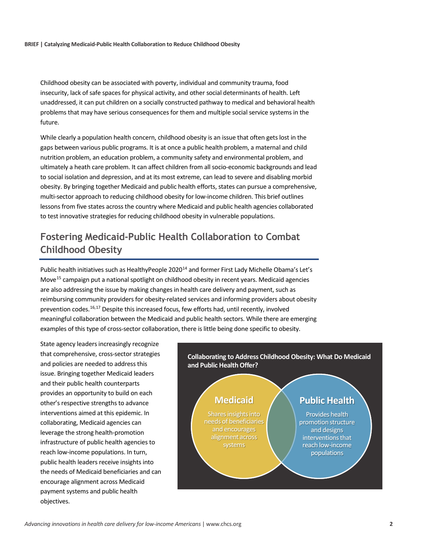Childhood obesity can be associated with poverty, individual and community trauma, food insecurity, lack of safe spaces for physical activity, and other social determinants of health. Left unaddressed, it can put children on a socially constructed pathway to medical and behavioral health problems that may have serious consequences for them and multiple social service systems in the future.

While clearly a population health concern, childhood obesity is an issue that often gets lost in the gaps between various public programs. It is at once a public health problem, a maternal and child nutrition problem, an education problem, a community safety and environmental problem, and ultimately a heath care problem. It can affect children from all socio-economic backgrounds and lead to social isolation and depression, and at its most extreme, can lead to severe and disabling morbid obesity. By bringing together Medicaid and public health efforts, states can pursue a comprehensive, multi-sector approach to reducing childhood obesity for low-income children. This brief outlines lessons from five states across the country where Medicaid and public health agencies collaborated to test innovative strategies for reducing childhood obesity in vulnerable populations.

# **Fostering Medicaid-Public Health Collaboration to Combat Childhood Obesity**

Public health initiatives such as HealthyPeople 2020<sup>[14](#page-7-13)</sup> and former First Lady Michelle Obama's Let's Move<sup>[15](#page-7-14)</sup> campaign put a national spotlight on childhood obesity in recent years. Medicaid agencies are also addressing the issue by making changes in health care delivery and payment, such as reimbursing community providers for obesity-related services and informing providers about obesity prevention codes.<sup>[16](#page-7-15),[17](#page-7-16)</sup> Despite this increased focus, few efforts had, until recently, involved meaningful collaboration between the Medicaid and public health sectors. While there are emerging examples of this type of cross-sector collaboration, there is little being done specific to obesity.

State agency leaders increasingly recognize that comprehensive, cross-sector strategies and policies are needed to address this issue. Bringing together Medicaid leaders and their public health counterparts provides an opportunity to build on each other's respective strengths to advance interventions aimed at this epidemic. In collaborating, Medicaid agencies can leverage the strong health-promotion infrastructure of public health agencies to reach low-income populations. In turn, public health leaders receive insights into the needs of Medicaid beneficiaries and can encourage alignment across Medicaid payment systems and public health objectives.

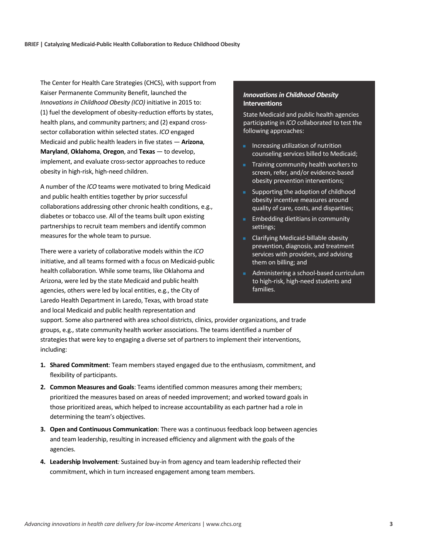The Center for Health Care Strategies (CHCS), with support from Kaiser Permanente Community Benefit, launched the *Innovations in Childhood Obesity (ICO)* initiative in 2015 to: (1) fuel the development of obesity-reduction efforts by states, health plans, and community partners; and (2) expand crosssector collaboration within selected states. *ICO* engaged Medicaid and public health leaders in five states — **Arizona**, **Maryland**, **Oklahoma**, **Oregon**, and **Texas** — to develop, implement, and evaluate cross-sector approaches to reduce obesity in high-risk, high-need children.

A number of the *ICO* teams were motivated to bring Medicaid and public health entities together by prior successful collaborations addressing other chronic health conditions, e.g., diabetes or tobacco use. All of the teams built upon existing partnerships to recruit team members and identify common measures for the whole team to pursue.

There were a variety of collaborative models within the *ICO* initiative, and all teams formed with a focus on Medicaid-public health collaboration. While some teams, like Oklahoma and Arizona, were led by the state Medicaid and public health agencies, others were led by local entities, e.g., the City of Laredo Health Department in Laredo, Texas, with broad state and local Medicaid and public health representation and

#### *Innovations in Childhood Obesity*  **Interventions**

State Medicaid and public health agencies participating in *ICO* collaborated to test the following approaches:

- Increasing utilization of nutrition counseling services billed to Medicaid;
- Training community health workers to screen, refer, and/or evidence-based obesity prevention interventions;
- **Supporting the adoption of childhood** obesity incentive measures around quality of care, costs, and disparities;
- **Embedding dietitians in community** settings;
- Clarifying Medicaid-billable obesity prevention, diagnosis, and treatment services with providers, and advising them on billing; and
- Administering a school-based curriculum to high-risk, high-need students and families.

support. Some also partnered with area school districts, clinics, provider organizations, and trade groups, e.g., state community health worker associations. The teams identified a number of strategies that were key to engaging a diverse set of partners to implement their interventions, including:

- **1. Shared Commitment**: Team members stayed engaged due to the enthusiasm, commitment, and flexibility of participants.
- **2. Common Measures and Goals**: Teams identified common measures among their members; prioritized the measures based on areas of needed improvement; and worked toward goals in those prioritized areas, which helped to increase accountability as each partner had a role in determining the team's objectives.
- **3. Open and Continuous Communication**: There was a continuous feedback loop between agencies and team leadership, resulting in increased efficiency and alignment with the goals of the agencies.
- **4. Leadership Involvement***:* Sustained buy-in from agency and team leadership reflected their commitment, which in turn increased engagement among team members.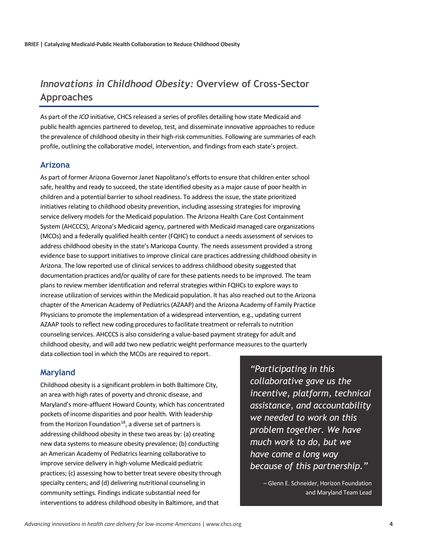## *Innovations in Childhood Obesity:* **Overview of Cross-Sector Approaches**

As part of the *ICO* initiative, CHCS released a series of profiles detailing how state Medicaid and public health agencies partnered to develop, test, and disseminate innovative approaches to reduce the prevalence of childhood obesity in their high-risk communities. Following are summaries of each profile, outlining the collaborative model, intervention, and findings from each state's project.

#### **Arizona**

As part of former Arizona Governor Janet Napolitano's efforts to ensure that children enter school safe, healthy and ready to succeed, the state identified obesity as a major cause of poor health in children and a potential barrier to school readiness. To address the issue, the state prioritized initiatives relating to childhood obesity prevention, including assessing strategies for improving service delivery models for the Medicaid population. The Arizona Health Care Cost Containment System (AHCCCS), Arizona's Medicaid agency, partnered with Medicaid managed care organizations (MCOs) and a federally qualified health center (FQHC) to conduct a needs assessment of services to address childhood obesity in the state's Maricopa County. The needs assessment provided a strong evidence base to support initiatives to improve clinical care practices addressing childhood obesity in Arizona. The low reported use of clinical services to address childhood obesity suggested that documentation practices and/or quality of care for these patients needs to be improved. The team plans to review member identification and referral strategies within FQHCs to explore ways to increase utilization of services within the Medicaid population. It has also reached out to the Arizona chapter of the American Academy of Pediatrics (AZAAP) and the Arizona Academy of Family Practice Physicians to promote the implementation of a widespread intervention, e.g., updating current AZAAP tools to reflect new coding procedures to facilitate treatment or referrals to nutrition counseling services. AHCCCS is also considering a value-based payment strategy for adult and childhood obesity, and will add two new pediatric weight performance measures to the quarterly data collection tool in which the MCOs are required to report.

#### **Maryland**

Childhood obesity is a significant problem in both Baltimore City, an area with high rates of poverty and chronic disease, and Maryland's more-affluent Howard County, which has concentrated pockets of income disparities and poor health. With leadership from the Horizon Foundation<sup>[18](#page-7-17)</sup>, a diverse set of partners is addressing childhood obesity in these two areas by: (a) creating new data systems to measure obesity prevalence; (b) conducting an American Academy of Pediatrics learning collaborative to improve service delivery in high-volume Medicaid pediatric practices; (c) assessing how to better treat severe obesity through specialty centers; and (d) delivering nutritional counseling in community settings. Findings indicate substantial need for interventions to address childhood obesity in Baltimore, and that

*"Participating in this collaborative gave us the incentive, platform, technical assistance, and accountability we needed to work on this problem together. We have much work to do, but we have come a long way because of this partnership."* 

> – Glenn E. Schneider, Horizon Foundation and Maryland Team Lead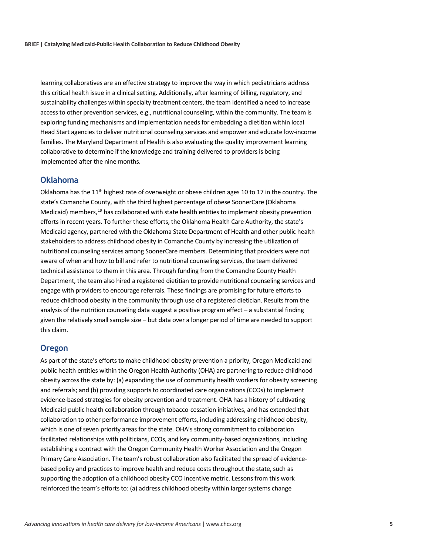learning collaboratives are an effective strategy to improve the way in which pediatricians address this critical health issue in a clinical setting. Additionally, after learning of billing, regulatory, and sustainability challenges within specialty treatment centers, the team identified a need to increase access to other prevention services, e.g., nutritional counseling, within the community. The team is exploring funding mechanisms and implementation needs for embedding a dietitian within local Head Start agencies to deliver nutritional counseling services and empower and educate low-income families. The Maryland Department of Health is also evaluating the quality improvement learning collaborative to determine if the knowledge and training delivered to providers is being implemented after the nine months.

#### **Oklahoma**

Oklahoma has the  $11<sup>th</sup>$  highest rate of overweight or obese children ages 10 to 17 in the country. The state's Comanche County, with the third highest percentage of obese SoonerCare (Oklahoma Medicaid) members,<sup>19</sup> has collaborated with state health entities to implement obesity prevention efforts in recent years. To further these efforts, the Oklahoma Health Care Authority, the state's Medicaid agency, partnered with the Oklahoma State Department of Health and other public health stakeholders to address childhood obesity in Comanche County by increasing the utilization of nutritional counseling services among SoonerCare members. Determining that providers were not aware of when and how to bill and refer to nutritional counseling services, the team delivered technical assistance to them in this area. Through funding from the Comanche County Health Department, the team also hired a registered dietitian to provide nutritional counseling services and engage with providers to encourage referrals. These findings are promising for future efforts to reduce childhood obesity in the community through use of a registered dietician. Results from the analysis of the nutrition counseling data suggest a positive program effect – a substantial finding given the relatively small sample size – but data over a longer period of time are needed to support this claim.

#### **Oregon**

As part of the state's efforts to make childhood obesity prevention a priority, Oregon Medicaid and public health entities within the Oregon Health Authority (OHA) are partnering to reduce childhood obesity across the state by: (a) expanding the use of community health workers for obesity screening and referrals; and (b) providing supports to coordinated care organizations (CCOs) to implement evidence-based strategies for obesity prevention and treatment. OHA has a history of cultivating Medicaid-public health collaboration through tobacco-cessation initiatives, and has extended that collaboration to other performance improvement efforts, including addressing childhood obesity, which is one of seven priority areas for the state. OHA's strong commitment to collaboration facilitated relationships with politicians, CCOs, and key community-based organizations, including establishing a contract with the Oregon Community Health Worker Association and the Oregon Primary Care Association. The team's robust collaboration also facilitated the spread of evidencebased policy and practices to improve health and reduce costs throughout the state, such as supporting the adoption of a childhood obesity CCO incentive metric. Lessons from this work reinforced the team's efforts to: (a) address childhood obesity within larger systems change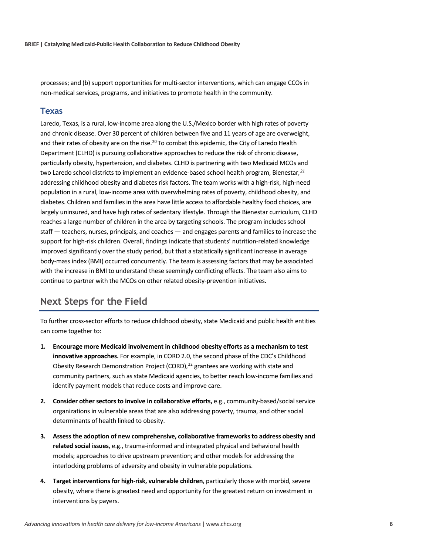processes; and (b) support opportunities for multi-sector interventions, which can engage CCOs in non-medical services, programs, and initiatives to promote health in the community.

#### **Texas**

Laredo, Texas, is a rural, low-income area along the U.S./Mexico border with high rates of poverty and chronic disease. Over 30 percent of children between five and 11 years of age are overweight, and their rates of obesity are on the rise.<sup>20</sup> To combat this epidemic, the City of Laredo Health Department (CLHD) is pursuing collaborative approaches to reduce the risk of chronic disease, particularly obesity, hypertension, and diabetes. CLHD is partnering with two Medicaid MCOs and two Laredo school districts to implement an evidence-based school health program, Bienestar*, [21](#page-7-20)* addressing childhood obesity and diabetes risk factors. The team works with a high-risk, high-need population in a rural, low-income area with overwhelming rates of poverty, childhood obesity, and diabetes. Children and families in the area have little access to affordable healthy food choices, are largely uninsured, and have high rates of sedentary lifestyle. Through the Bienestar curriculum, CLHD reaches a large number of children in the area by targeting schools. The program includes school staff — teachers, nurses, principals, and coaches — and engages parents and families to increase the support for high-risk children. Overall, findings indicate that students' nutrition-related knowledge improved significantly over the study period, but that a statistically significant increase in average body-mass index (BMI) occurred concurrently. The team is assessing factors that may be associated with the increase in BMI to understand these seemingly conflicting effects. The team also aims to continue to partner with the MCOs on other related obesity-prevention initiatives.

### **Next Steps for the Field**

To further cross-sector efforts to reduce childhood obesity, state Medicaid and public health entities can come together to:

- **1. Encourage more Medicaid involvement in childhood obesity efforts as a mechanism to test innovative approaches.** For example, in CORD 2.0, the second phase of the CDC's Childhood Obesity Research Demonstration Project (CORD), $^{22}$  $^{22}$  $^{22}$  grantees are working with state and community partners, such as state Medicaid agencies, to better reach low-income families and identify payment models that reduce costs and improve care.
- **2. Consider other sectors to involve in collaborative efforts,** e.g., community-based/social service organizations in vulnerable areas that are also addressing poverty, trauma, and other social determinants of health linked to obesity.
- **3. Assess the adoption of new comprehensive, collaborative frameworks to address obesity and related social issues**, e.g., trauma-informed and integrated physical and behavioral health models; approaches to drive upstream prevention; and other models for addressing the interlocking problems of adversity and obesity in vulnerable populations.
- **4. Target interventions for high-risk, vulnerable children**, particularly those with morbid, severe obesity, where there is greatest need and opportunity for the greatest return on investment in interventions by payers.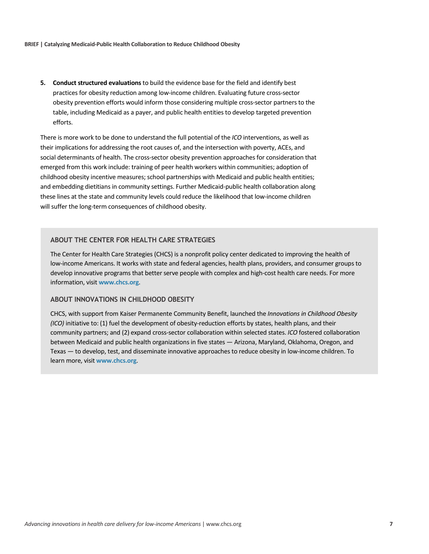**5. Conduct structured evaluations** to build the evidence base for the field and identify best practices for obesity reduction among low-income children. Evaluating future cross-sector obesity prevention efforts would inform those considering multiple cross-sector partners to the table, including Medicaid as a payer, and public health entities to develop targeted prevention efforts.

There is more work to be done to understand the full potential of the *ICO* interventions, as well as their implications for addressing the root causes of, and the intersection with poverty, ACEs, and social determinants of health. The cross-sector obesity prevention approaches for consideration that emerged from this work include: training of peer health workers within communities; adoption of childhood obesity incentive measures; school partnerships with Medicaid and public health entities; and embedding dietitians in community settings. Further Medicaid-public health collaboration along these lines at the state and community levels could reduce the likelihood that low-income children will suffer the long-term consequences of childhood obesity.

#### **ABOUT THE CENTER FOR HEALTH CARE STRATEGIES**

The Center for Health Care Strategies (CHCS) is a nonprofit policy center dedicated to improving the health of low-income Americans. It works with state and federal agencies, health plans, providers, and consumer groups to develop innovative programs that better serve people with complex and high-cost health care needs. For more information, visit **[www.chcs.org](http://www.chcs.org/)**.

#### **ABOUT INNOVATIONS IN CHILDHOOD OBESITY**

CHCS, with support from Kaiser Permanente Community Benefit, launched the *Innovations in Childhood Obesity (ICO)* initiative to: (1) fuel the development of obesity-reduction efforts by states, health plans, and their community partners; and (2) expand cross-sector collaboration within selected states. *ICO* fostered collaboration between Medicaid and public health organizations in five states — Arizona, Maryland, Oklahoma, Oregon, and Texas — to develop, test, and disseminate innovative approaches to reduce obesity in low-income children. To learn more, visit **[www.chcs.org](http://www.chcs.org/)**.